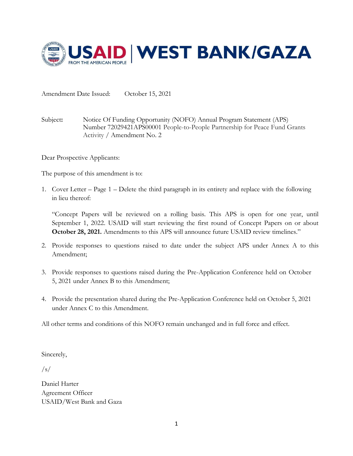

Amendment Date Issued: October 15, 2021

Subject**:** Notice Of Funding Opportunity (NOFO) Annual Program Statement (APS) Number 72029421APS00001 People-to-People Partnership for Peace Fund Grants Activity / Amendment No. 2

Dear Prospective Applicants:

The purpose of this amendment is to:

1. Cover Letter – Page 1 – Delete the third paragraph in its entirety and replace with the following in lieu thereof:

"Concept Papers will be reviewed on a rolling basis. This APS is open for one year, until September 1, 2022. USAID will start reviewing the first round of Concept Papers on or about **October 28, 2021.** Amendments to this APS will announce future USAID review timelines."

- 2. Provide responses to questions raised to date under the subject APS under Annex A to this Amendment;
- 3. Provide responses to questions raised during the Pre-Application Conference held on October 5, 2021 under Annex B to this Amendment;
- 4. Provide the presentation shared during the Pre-Application Conference held on October 5, 2021 under Annex C to this Amendment.

All other terms and conditions of this NOFO remain unchanged and in full force and effect.

Sincerely,

 $\sqrt{s/2}$ 

Daniel Harter Agreement Officer USAID/West Bank and Gaza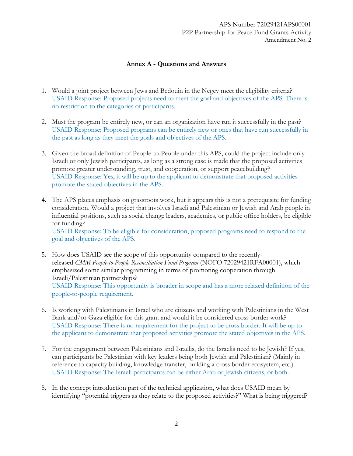## **Annex A - Questions and Answers**

- 1. Would a joint project between Jews and Bedouin in the Negev meet the eligibility criteria? USAID Response: Proposed projects need to meet the goal and objectives of the APS. There is no restriction to the categories of participants.
- 2. Must the program be entirely new, or can an organization have run it successfully in the past? USAID Response: Proposed programs can be entirely new or ones that have run successfully in the past as long as they meet the goals and objectives of the APS.
- 3. Given the broad definition of People-to-People under this APS, could the project include only Israeli or only Jewish participants, as long as a strong case is made that the proposed activities promote greater understanding, trust, and cooperation, or support peacebuilding? USAID Response: Yes, it will be up to the applicant to demonstrate that proposed activities promote the stated objectives in the APS.
- 4. The APS places emphasis on grassroots work, but it appears this is not a prerequisite for funding consideration. Would a project that involves Israeli and Palestinian or Jewish and Arab people in influential positions, such as social change leaders, academics, or public office holders, be eligible for funding? USAID Response: To be eligible for consideration, proposed programs need to respond to the

goal and objectives of the APS.

- 5. How does USAID see the scope of this opportunity compared to the recentlyreleased *CMM People-to-People Reconciliation Fund Program* (NOFO 72029421RFA00001), which emphasized some similar programming in terms of promoting cooperation through Israeli/Palestinian partnerships? USAID Response: This opportunity is broader in scope and has a more relaxed definition of the people-to-people requirement.
- 6. Is working with Palestinians in Israel who are citizens and working with Palestinians in the West Bank and/or Gaza eligible for this grant and would it be considered cross border work? USAID Response: There is no requirement for the project to be cross border. It will be up to the applicant to demonstrate that proposed activities promote the stated objectives in the APS.
- 7. For the engagement between Palestinians and Israelis, do the Israelis need to be Jewish? If yes, can participants be Palestinian with key leaders being both Jewish and Palestinian? (Mainly in reference to capacity building, knowledge transfer, building a cross border ecosystem, etc.). USAID Response: The Israeli participants can be either Arab or Jewish citizens, or both.
- 8. In the concept introduction part of the technical application, what does USAID mean by identifying "potential triggers as they relate to the proposed activities?" What is being triggered?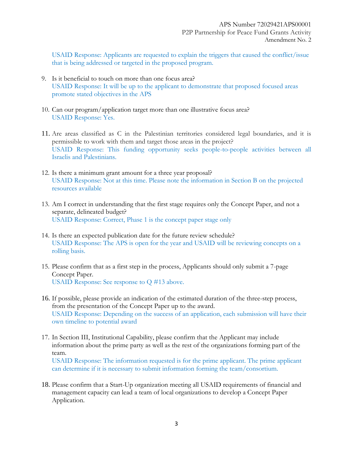USAID Response: Applicants are requested to explain the triggers that caused the conflict/issue that is being addressed or targeted in the proposed program.

- 9. Is it beneficial to touch on more than one focus area? USAID Response: It will be up to the applicant to demonstrate that proposed focused areas promote stated objectives in the APS
- 10. Can our program/application target more than one illustrative focus area? USAID Response: Yes.
- 11. Are areas classified as C in the Palestinian territories considered legal boundaries, and it is permissible to work with them and target those areas in the project? USAID Response: This funding opportunity seeks people-to-people activities between all Israelis and Palestinians.
- 12. Is there a minimum grant amount for a three year proposal? USAID Response: Not at this time. Please note the information in Section B on the projected resources available
- 13. Am I correct in understanding that the first stage requires only the Concept Paper, and not a separate, delineated budget? USAID Response: Correct, Phase 1 is the concept paper stage only
- 14. Is there an expected publication date for the future review schedule? USAID Response: The APS is open for the year and USAID will be reviewing concepts on a rolling basis.
- 15. Please confirm that as a first step in the process, Applicants should only submit a 7-page Concept Paper. USAID Response: See response to Q #13 above.
- 16. If possible, please provide an indication of the estimated duration of the three-step process, from the presentation of the Concept Paper up to the award. USAID Response: Depending on the success of an application, each submission will have their own timeline to potential award
- 17. In Section III, Institutional Capability, please confirm that the Applicant may include information about the prime party as well as the rest of the organizations forming part of the team. USAID Response: The information requested is for the prime applicant. The prime applicant can determine if it is necessary to submit information forming the team/consortium.
- 18. Please confirm that a Start-Up organization meeting all USAID requirements of financial and management capacity can lead a team of local organizations to develop a Concept Paper Application.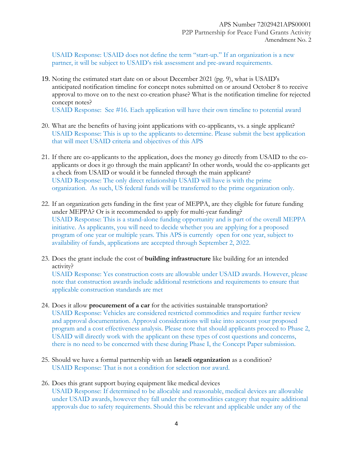USAID Response: USAID does not define the term "start-up." If an organization is a new partner, it will be subject to USAID's risk assessment and pre-award requirements.

19. Noting the estimated start date on or about December 2021 (pg. 9), what is USAID's anticipated notification timeline for concept notes submitted on or around October 8 to receive approval to move on to the next co-creation phase? What is the notification timeline for rejected concept notes?

USAID Response: See #16. Each application will have their own timeline to potential award

- 20. What are the benefits of having joint applications with co-applicants, vs. a single applicant? USAID Response: This is up to the applicants to determine. Please submit the best application that will meet USAID criteria and objectives of this APS
- 21. If there are co-applicants to the application, does the money go directly from USAID to the coapplicants or does it go through the main applicant? In other words, would the co-applicants get a check from USAID or would it be funneled through the main applicant? USAID Response: The only direct relationship USAID will have is with the prime organization. As such, US federal funds will be transferred to the prime organization only.
- 22. If an organization gets funding in the first year of MEPPA, are they eligible for future funding under MEPPA? Or is it recommended to apply for multi-year funding? USAID Response: This is a stand-alone funding opportunity and is part of the overall MEPPA initiative. As applicants, you will need to decide whether you are applying for a proposed program of one year or multiple years. This APS is currently open for one year, subject to availability of funds, applications are accepted through September 2, 2022.
- 23. Does the grant include the cost of **building infrastructure** like building for an intended activity? USAID Response: Yes construction costs are allowable under USAID awards. However, please note that construction awards include additional restrictions and requirements to ensure that applicable construction standards are met
- 24. Does it allow **procurement of a car** for the activities sustainable transportation? USAID Response: Vehicles are considered restricted commodities and require further review and approval documentation. Approval considerations will take into account your proposed program and a cost effectiveness analysis. Please note that should applicants proceed to Phase 2, USAID will directly work with the applicant on these types of cost questions and concerns, there is no need to be concerned with these during Phase I, the Concept Paper submission.
- 25. Should we have a formal partnership with an I**sraeli organization** as a condition? USAID Response: That is not a condition for selection nor award.
- 26. Does this grant support buying equipment like medical devices USAID Response: If determined to be allocable and reasonable, medical devices are allowable under USAID awards, however they fall under the commodities category that require additional approvals due to safety requirements. Should this be relevant and applicable under any of the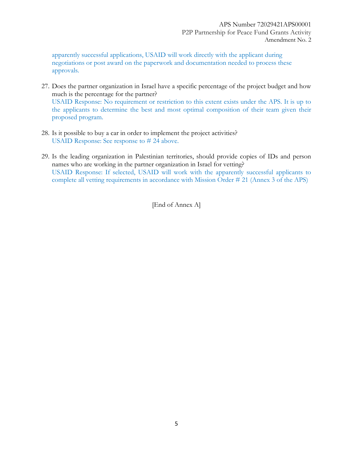apparently successful applications, USAID will work directly with the applicant during negotiations or post award on the paperwork and documentation needed to process these approvals.

- 27. Does the partner organization in Israel have a specific percentage of the project budget and how much is the percentage for the partner? USAID Response: No requirement or restriction to this extent exists under the APS. It is up to the applicants to determine the best and most optimal composition of their team given their proposed program.
- 28. Is it possible to buy a car in order to implement the project activities? USAID Response: See response to # 24 above.
- 29. Is the leading organization in Palestinian territories, should provide copies of IDs and person names who are working in the partner organization in Israel for vetting? USAID Response: If selected, USAID will work with the apparently successful applicants to complete all vetting requirements in accordance with Mission Order # 21 (Annex 3 of the APS)

[End of Annex A]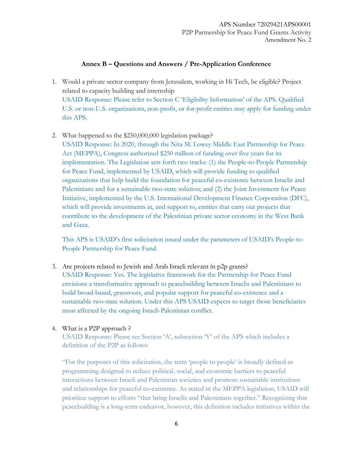## **Annex B – Questions and Answers / Pre-Application Conference**

- 1. Would a private sector company from Jerusalem, working in Hi Tech, be eligible? Project related to capacity building and internship USAID Response: Please refer to Section C 'Eligibility Information' of the APS. Qualified U.S. or non-U.S. organizations, non-profit, or for-profit entities may apply for funding under this APS.
- 2. What happened to the \$250,000,000 legislation package?

USAID Response: In 2020, through the Nita M. Lowey Middle East Partnership for Peace Act (MEPPA), Congress authorized \$250 million of funding over five years for its implementation. The Legislation sets forth two tracks: (1) the People-to-People Partnership for Peace Fund, implemented by USAID, which will provide funding to qualified organizations that help build the foundation for peaceful co-existence between Israelis and Palestinians and for a sustainable two-state solution; and (2) the Joint Investment for Peace Initiative, implemented by the U.S. International Development Finance Corporation (DFC), which will provide investments in, and support to, entities that carry out projects that contribute to the development of the Palestinian private sector economy in the West Bank and Gaza.

This APS is USAID's first solicitation issued under the parameters of USAID's People-to-People Partnership for Peace Fund.

- 3. Are projects related to Jewish and Arab Israeli relevant in p2p grants? USAID Response: Yes. The legislative framework for the Partnership for Peace Fund envisions a transformative approach to peacebuilding between Israelis and Palestinians to build broad-based, grassroots, and popular support for peaceful co-existence and a sustainable two-state solution. Under this APS USAID expects to target those beneficiaries most affected by the ongoing Israeli-Palestinian conflict.
- 4. What is a P2P approach ?

USAID Response: Please see Section 'A', subsection 'V' of the APS which includes a definition of the P2P as follows:

"For the purposes of this solicitation, the term 'people to people' is broadly defined as programming designed to reduce political, social, and economic barriers to peaceful interactions between Israeli and Palestinian societies and promote sustainable institutions and relationships for peaceful co-existence. As stated in the MEPPA legislation, USAID will prioritize support to efforts "that bring Israelis and Palestinians together." Recognizing that peacebuilding is a long-term endeavor, however, this definition includes initiatives within the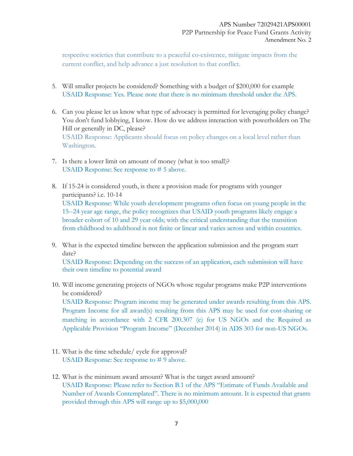respective societies that contribute to a peaceful co-existence, mitigate impacts from the current conflict, and help advance a just resolution to that conflict.

- 5. Will smaller projects be considered? Something with a budget of \$200,000 for example USAID Response: Yes. Please note that there is no minimum threshold under the APS.
- 6. Can you please let us know what type of advocacy is permitted for leveraging policy change? You don't fund lobbying, I know. How do we address interaction with powerholders on The Hill or generally in DC, please? USAID Response: Applicants should focus on policy changes on a local level rather than Washington.
- 7. Is there a lower limit on amount of money (what is too small)? USAID Response: See response to # 5 above.
- 8. If 15-24 is considered youth, is there a provision made for programs with younger participants? i.e. 10-14 USAID Response: While youth development programs often focus on young people in the 15--24 year age range, the policy recognizes that USAID youth programs likely engage a broader cohort of 10 and 29 year olds; with the critical understanding that the transition from childhood to adulthood is not finite or linear and varies across and within countries.
- 9. What is the expected timeline between the application submission and the program start date? USAID Response: Depending on the success of an application, each submission will have their own timeline to potential award
- 10. Will income generating projects of NGOs whose regular programs make P2P interventions be considered? USAID Response: Program income may be generated under awards resulting from this APS. Program Income for all award(s) resulting from this APS may be used for cost-sharing or matching in accordance with 2 CFR 200.307 (e) for US NGOs and the Required as Applicable Provision "Program Income" (December 2014) in ADS 303 for non-US NGOs.
- 11. What is the time schedule/ cycle for approval? USAID Response: See response to # 9 above.
- 12. What is the minimum award amount? What is the target award amount? USAID Response: Please refer to Section B.1 of the APS "Estimate of Funds Available and Number of Awards Contemplated". There is no minimum amount. It is expected that grants provided through this APS will range up to \$5,000,000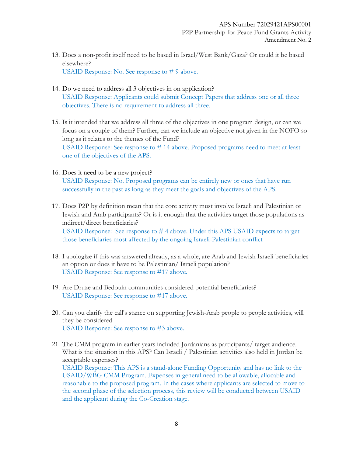- 13. Does a non-profit itself need to be based in Israel/West Bank/Gaza? Or could it be based elsewhere? USAID Response: No. See response to # 9 above.
- 14. Do we need to address all 3 objectives in on application? USAID Response: Applicants could submit Concept Papers that address one or all three objectives. There is no requirement to address all three.
- 15. Is it intended that we address all three of the objectives in one program design, or can we focus on a couple of them? Further, can we include an objective not given in the NOFO so long as it relates to the themes of the Fund? USAID Response: See response to # 14 above. Proposed programs need to meet at least one of the objectives of the APS.
- 16. Does it need to be a new project? USAID Response: No. Proposed programs can be entirely new or ones that have run successfully in the past as long as they meet the goals and objectives of the APS.
- 17. Does P2P by definition mean that the core activity must involve Israeli and Palestinian or Jewish and Arab participants? Or is it enough that the activities target those populations as indirect/direct beneficiaries? USAID Response: See response to # 4 above. Under this APS USAID expects to target those beneficiaries most affected by the ongoing Israeli-Palestinian conflict
- 18. I apologize if this was answered already, as a whole, are Arab and Jewish Israeli beneficiaries an option or does it have to be Palestinian/ Israeli population? USAID Response: See response to #17 above.
- 19. Are Druze and Bedouin communities considered potential beneficiaries? USAID Response: See response to #17 above.
- 20. Can you clarify the call's stance on supporting Jewish-Arab people to people activities, will they be considered USAID Response: See response to #3 above.
- 21. The CMM program in earlier years included Jordanians as participants/ target audience. What is the situation in this APS? Can Israeli / Palestinian activities also held in Jordan be acceptable expenses? USAID Response: This APS is a stand-alone Funding Opportunity and has no link to the USAID/WBG CMM Program. Expenses in general need to be allowable, allocable and reasonable to the proposed program. In the cases where applicants are selected to move to the second phase of the selection process, this review will be conducted between USAID and the applicant during the Co-Creation stage.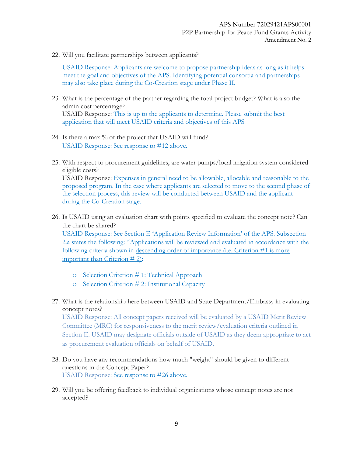22. Will you facilitate partnerships between applicants?

USAID Response: Applicants are welcome to propose partnership ideas as long as it helps meet the goal and objectives of the APS. Identifying potential consortia and partnerships may also take place during the Co-Creation stage under Phase II.

- 23. What is the percentage of the partner regarding the total project budget? What is also the admin cost percentage? USAID Response: This is up to the applicants to determine. Please submit the best application that will meet USAID criteria and objectives of this APS
- 24. Is there a max % of the project that USAID will fund? USAID Response: See response to #12 above.
- 25. With respect to procurement guidelines, are water pumps/local irrigation system considered eligible costs? USAID Response: Expenses in general need to be allowable, allocable and reasonable to the

proposed program. In the case where applicants are selected to move to the second phase of the selection process, this review will be conducted between USAID and the applicant during the Co-Creation stage.

26. Is USAID using an evaluation chart with points specified to evaluate the concept note? Can the chart be shared?

USAID Response: See Section E 'Application Review Information' of the APS. Subsection 2.a states the following: "Applications will be reviewed and evaluated in accordance with the following criteria shown in descending order of importance (i.e. Criterion #1 is more important than Criterion # 2):

- o Selection Criterion # 1: Technical Approach
- o Selection Criterion # 2: Institutional Capacity
- 27. What is the relationship here between USAID and State Department/Embassy in evaluating concept notes?

USAID Response: All concept papers received will be evaluated by a USAID Merit Review Committee (MRC) for responsiveness to the merit review/evaluation criteria outlined in Section E. USAID may designate officials outside of USAID as they deem appropriate to act as procurement evaluation officials on behalf of USAID.

- 28. Do you have any recommendations how much "weight" should be given to different questions in the Concept Paper? USAID Response: See response to #26 above.
- 29. Will you be offering feedback to individual organizations whose concept notes are not accepted?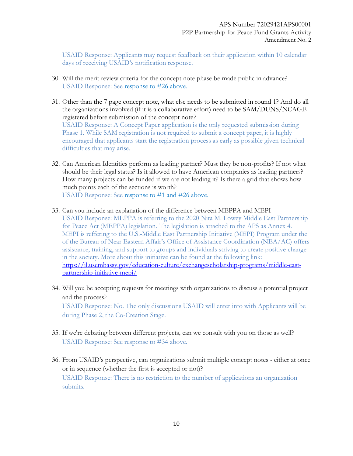USAID Response: Applicants may request feedback on their application within 10 calendar days of receiving USAID's notification response.

- 30. Will the merit review criteria for the concept note phase be made public in advance? USAID Response: See response to #26 above.
- 31. Other than the 7 page concept note, what else needs to be submitted in round 1? And do all the organizations involved (if it is a collaborative effort) need to be SAM/DUNS/NCAGE registered before submission of the concept note? USAID Response: A Concept Paper application is the only requested submission during Phase 1. While SAM registration is not required to submit a concept paper, it is highly encouraged that applicants start the registration process as early as possible given technical difficulties that may arise.
- 32. Can American Identities perform as leading partner? Must they be non-profits? If not what should be their legal status? Is it allowed to have American companies as leading partners? How many projects can be funded if we are not leading it? Is there a grid that shows how much points each of the sections is worth? USAID Response: See response to #1 and #26 above.
- 33. Can you include an explanation of the difference between MEPPA and MEPI USAID Response: MEPPA is referring to the 2020 Nita M. Lowey Middle East Partnership for Peace Act (MEPPA) legislation. The legislation is attached to the APS as Annex 4. MEPI is reffering to the U.S.-Middle East Partnership Initiative (MEPI) Program under the of the Bureau of Near Eastern Affair's Office of Assistance Coordination (NEA/AC) offers assistance, training, and support to groups and individuals striving to create positive change in the society. More about this initiative can be found at the following link: [https://il.usembassy.gov/education-culture/exchangescholarship-programs/middle-east](https://il.usembassy.gov/education-culture/exchangescholarship-programs/middle-east-partnership-initiative-mepi/)[partnership-initiative-mepi/](https://il.usembassy.gov/education-culture/exchangescholarship-programs/middle-east-partnership-initiative-mepi/)
- 34. Will you be accepting requests for meetings with organizations to discuss a potential project and the process? USAID Response: No. The only discussions USAID will enter into with Applicants will be during Phase 2, the Co-Creation Stage.
- 35. If we're debating between different projects, can we consult with you on those as well? USAID Response: See response to #34 above.
- 36. From USAID's perspective, can organizations submit multiple concept notes either at once or in sequence (whether the first is accepted or not)? USAID Response: There is no restriction to the number of applications an organization submits.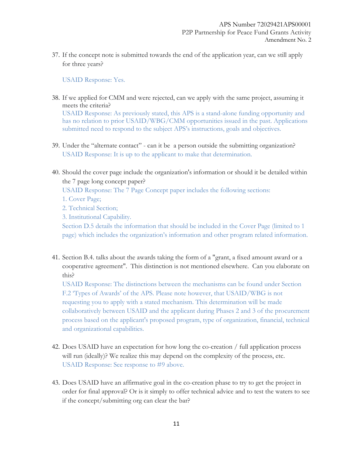37. If the concept note is submitted towards the end of the application year, can we still apply for three years?

USAID Response: Yes.

38. If we applied for CMM and were rejected, can we apply with the same project, assuming it meets the criteria?

USAID Response: As previously stated, this APS is a stand-alone funding opportunity and has no relation to prior USAID/WBG/CMM opportunities issued in the past. Applications submitted need to respond to the subject APS's instructions, goals and objectives.

- 39. Under the "alternate contact" can it be a person outside the submitting organization? USAID Response: It is up to the applicant to make that determination.
- 40. Should the cover page include the organization's information or should it be detailed within the 7 page long concept paper?

USAID Response: The 7 Page Concept paper includes the following sections:

- 1. Cover Page;
- 2. Technical Section;
- 3. Institutional Capability.

Section D.5 details the information that should be included in the Cover Page (limited to 1 page) which includes the organization's information and other program related information.

41. Section B.4. talks about the awards taking the form of a "grant, a fixed amount award or a cooperative agreement". This distinction is not mentioned elsewhere. Can you elaborate on this?

USAID Response: The distinctions between the mechanisms can be found under Section F.2 'Types of Awards' of the APS. Please note however, that USAID/WBG is not requesting you to apply with a stated mechanism. This determination will be made collaboratively between USAID and the applicant during Phases 2 and 3 of the procurement process based on the applicant's proposed program, type of organization, financial, technical and organizational capabilities.

- 42. Does USAID have an expectation for how long the co-creation / full application process will run (ideally)? We realize this may depend on the complexity of the process, etc. USAID Response: See response to #9 above.
- 43. Does USAID have an affirmative goal in the co-creation phase to try to get the project in order for final approval? Or is it simply to offer technical advice and to test the waters to see if the concept/submitting org can clear the bar?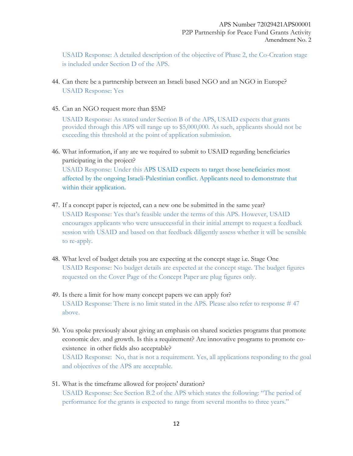USAID Response: A detailed description of the objective of Phase 2, the Co-Creation stage is included under Section D of the APS.

- 44. Can there be a partnership between an Israeli based NGO and an NGO in Europe? USAID Response: Yes
- 45. Can an NGO request more than \$5M?

USAID Response: As stated under Section B of the APS, USAID expects that grants provided through this APS will range up to \$5,000,000. As such, applicants should not be exceeding this threshold at the point of application submission.

- 46. What information, if any are we required to submit to USAID regarding beneficiaries participating in the project? USAID Response: Under this APS USAID expects to target those beneficiaries most affected by the ongoing Israeli-Palestinian conflict. Applicants need to demonstrate that within their application.
- 47. If a concept paper is rejected, can a new one be submitted in the same year? USAID Response: Yes that's feasible under the terms of this APS. However, USAID encourages applicants who were unsuccessful in their initial attempt to request a feedback session with USAID and based on that feedback diligently assess whether it will be sensible to re-apply.
- 48. What level of budget details you are expecting at the concept stage i.e. Stage One USAID Response: No budget details are expected at the concept stage. The budget figures requested on the Cover Page of the Concept Paper are plug figures only.
- 49. Is there a limit for how many concept papers we can apply for? USAID Response: There is no limit stated in the APS. Please also refer to response # 47 above.
- 50. You spoke previously about giving an emphasis on shared societies programs that promote economic dev. and growth. Is this a requirement? Are innovative programs to promote coexistence in other fields also acceptable? USAID Response: No, that is not a requirement. Yes, all applications responding to the goal and objectives of the APS are acceptable.
- 51. What is the timeframe allowed for projects' duration? USAID Response: See Section B.2 of the APS which states the following: "The period of performance for the grants is expected to range from several months to three years."